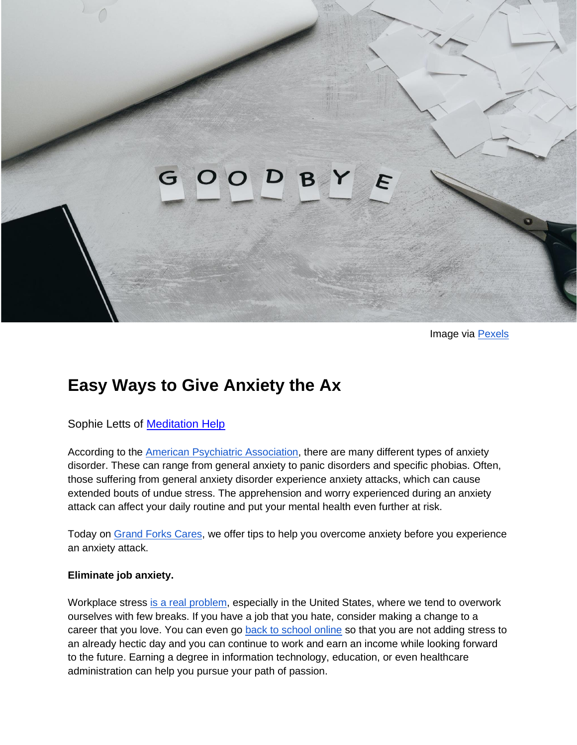# F

Image via [Pexels](https://www.pexels.com/photo/wood-laptop-writing-business-4271925/)

# **Easy Ways to Give Anxiety the Ax**

Sophie Letts of [Meditation Help](https://www.meditationhelp.net/)

According to the [American Psychiatric Association,](https://www.psychiatry.org/patients-families/anxiety-disorders/what-are-anxiety-disorders) there are many different types of anxiety disorder. These can range from general anxiety to panic disorders and specific phobias. Often, those suffering from general anxiety disorder experience anxiety attacks, which can cause extended bouts of undue stress. The apprehension and worry experienced during an anxiety attack can affect your daily routine and put your mental health even further at risk.

Today on [Grand Forks Cares,](https://www.gfcares.com/) we offer tips to help you overcome anxiety before you experience an anxiety attack.

#### **Eliminate job anxiety.**

Workplace stress [is a real problem,](https://www.corporatewellnessmagazine.com/article/workplace-stress-silent-killer-employee-health-productivity) especially in the United States, where we tend to overwork ourselves with few breaks. If you have a job that you hate, consider making a change to a career that you love. You can even go [back to school online](https://www.phoenix.edu/degree.html?adobe_mc_sdid=SDID%3D0569343D72CEE341-7F8E7D7B51821E84%7CMCORGID%3D8DF667C25245B0070A490D4C%40AdobeOrg%7CTS%3D1629210264) so that you are not adding stress to an already hectic day and you can continue to work and earn an income while looking forward to the future. Earning a degree in information technology, education, or even healthcare administration can help you pursue your path of passion.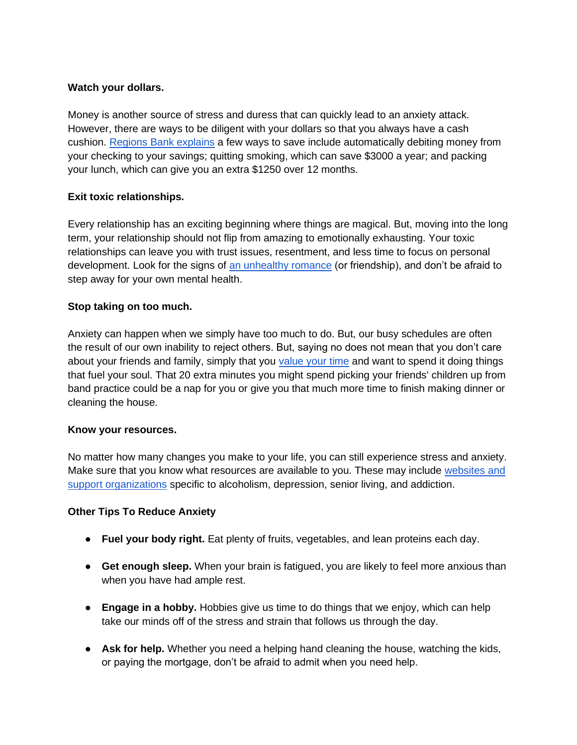## **Watch your dollars.**

Money is another source of stress and duress that can quickly lead to an anxiety attack. However, there are ways to be diligent with your dollars so that you always have a cash cushion. [Regions Bank explains](https://www.regions.com/Insights/Personal/Personal-Finances/budgeting-and-saving/10-Best-Ways-to-Save-Money) a few ways to save include automatically debiting money from your checking to your savings; quitting smoking, which can save \$3000 a year; and packing your lunch, which can give you an extra \$1250 over 12 months.

# **Exit toxic relationships.**

Every relationship has an exciting beginning where things are magical. But, moving into the long term, your relationship should not flip from amazing to emotionally exhausting. Your toxic relationships can leave you with trust issues, resentment, and less time to focus on personal development. Look for the signs of [an unhealthy romance](https://www.thekewlshop.com/blogs/news/how-to-detox-yourself-from-toxic-relations) (or friendship), and don't be afraid to step away for your own mental health.

### **Stop taking on too much.**

Anxiety can happen when we simply have too much to do. But, our busy schedules are often the result of our own inability to reject others. But, saying no does not mean that you don't care about your friends and family, simply that you [value your time](https://www.livehappy.com/self/5-positive-reasons-saying-no?nopaging=1) and want to spend it doing things that fuel your soul. That 20 extra minutes you might spend picking your friends' children up from band practice could be a nap for you or give you that much more time to finish making dinner or cleaning the house.

#### **Know your resources.**

No matter how many changes you make to your life, you can still experience stress and anxiety. Make sure that you know what resources are available to you. These may include websites and [support organizations](https://www.gfcares.com/copy-of-resources) specific to alcoholism, depression, senior living, and addiction.

#### **Other Tips To Reduce Anxiety**

- **Fuel your body right.** Eat plenty of fruits, vegetables, and lean proteins each day.
- **Get enough sleep.** When your brain is fatigued, you are likely to feel more anxious than when you have had ample rest.
- **Engage in a hobby.** Hobbies give us time to do things that we enjoy, which can help take our minds off of the stress and strain that follows us through the day.
- **Ask for help.** Whether you need a helping hand cleaning the house, watching the kids, or paying the mortgage, don't be afraid to admit when you need help.